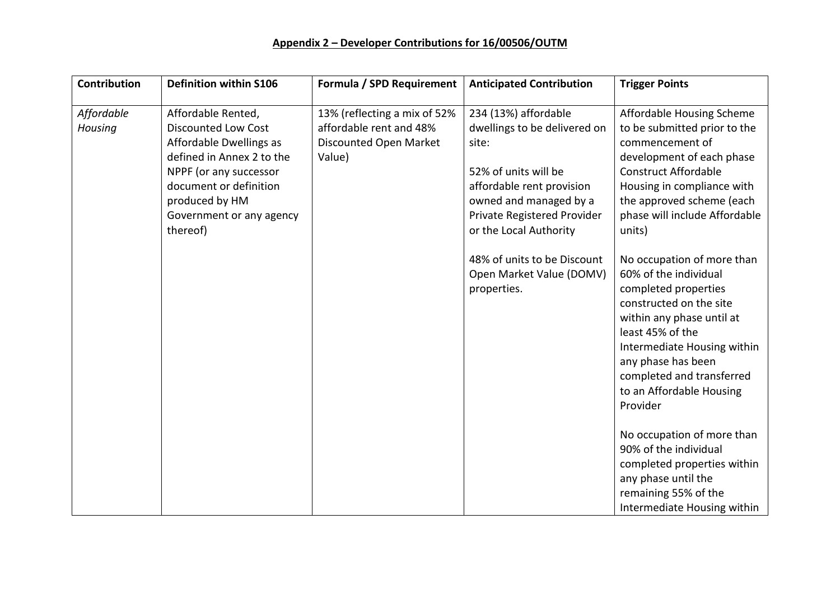## **Appendix 2 – Developer Contributions for 16/00506/OUTM**

| <b>Contribution</b>   | <b>Definition within S106</b>                                                                                                                                                                                          | Formula / SPD Requirement                                                                   | <b>Anticipated Contribution</b>                                                                                                                                                                                                      | <b>Trigger Points</b>                                                                                                                                                                                                                                                        |
|-----------------------|------------------------------------------------------------------------------------------------------------------------------------------------------------------------------------------------------------------------|---------------------------------------------------------------------------------------------|--------------------------------------------------------------------------------------------------------------------------------------------------------------------------------------------------------------------------------------|------------------------------------------------------------------------------------------------------------------------------------------------------------------------------------------------------------------------------------------------------------------------------|
| Affordable<br>Housing | Affordable Rented,<br><b>Discounted Low Cost</b><br>Affordable Dwellings as<br>defined in Annex 2 to the<br>NPPF (or any successor<br>document or definition<br>produced by HM<br>Government or any agency<br>thereof) | 13% (reflecting a mix of 52%<br>affordable rent and 48%<br>Discounted Open Market<br>Value) | 234 (13%) affordable<br>dwellings to be delivered on<br>site:<br>52% of units will be<br>affordable rent provision<br>owned and managed by a<br>Private Registered Provider<br>or the Local Authority<br>48% of units to be Discount | Affordable Housing Scheme<br>to be submitted prior to the<br>commencement of<br>development of each phase<br><b>Construct Affordable</b><br>Housing in compliance with<br>the approved scheme (each<br>phase will include Affordable<br>units)<br>No occupation of more than |
|                       |                                                                                                                                                                                                                        |                                                                                             | Open Market Value (DOMV)<br>properties.                                                                                                                                                                                              | 60% of the individual<br>completed properties<br>constructed on the site<br>within any phase until at<br>least 45% of the<br>Intermediate Housing within<br>any phase has been<br>completed and transferred<br>to an Affordable Housing<br>Provider                          |
|                       |                                                                                                                                                                                                                        |                                                                                             |                                                                                                                                                                                                                                      | No occupation of more than<br>90% of the individual<br>completed properties within<br>any phase until the<br>remaining 55% of the<br>Intermediate Housing within                                                                                                             |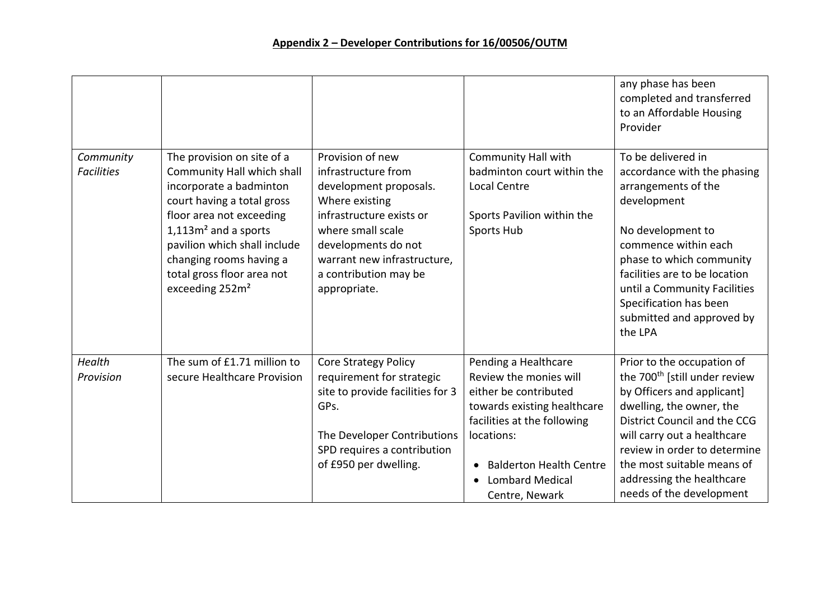|                                |                                                                                                                                                                                                                                                                                                 |                                                                                                                                                                                                                                     |                                                                                                                                                                                                                                                | any phase has been<br>completed and transferred<br>to an Affordable Housing<br>Provider                                                                                                                                                                                                                                 |
|--------------------------------|-------------------------------------------------------------------------------------------------------------------------------------------------------------------------------------------------------------------------------------------------------------------------------------------------|-------------------------------------------------------------------------------------------------------------------------------------------------------------------------------------------------------------------------------------|------------------------------------------------------------------------------------------------------------------------------------------------------------------------------------------------------------------------------------------------|-------------------------------------------------------------------------------------------------------------------------------------------------------------------------------------------------------------------------------------------------------------------------------------------------------------------------|
| Community<br><b>Facilities</b> | The provision on site of a<br>Community Hall which shall<br>incorporate a badminton<br>court having a total gross<br>floor area not exceeding<br>$1,113m2$ and a sports<br>pavilion which shall include<br>changing rooms having a<br>total gross floor area not<br>exceeding 252m <sup>2</sup> | Provision of new<br>infrastructure from<br>development proposals.<br>Where existing<br>infrastructure exists or<br>where small scale<br>developments do not<br>warrant new infrastructure,<br>a contribution may be<br>appropriate. | <b>Community Hall with</b><br>badminton court within the<br>Local Centre<br>Sports Pavilion within the<br>Sports Hub                                                                                                                           | To be delivered in<br>accordance with the phasing<br>arrangements of the<br>development<br>No development to<br>commence within each<br>phase to which community<br>facilities are to be location<br>until a Community Facilities<br>Specification has been<br>submitted and approved by<br>the LPA                     |
| Health<br>Provision            | The sum of £1.71 million to<br>secure Healthcare Provision                                                                                                                                                                                                                                      | <b>Core Strategy Policy</b><br>requirement for strategic<br>site to provide facilities for 3<br>GPs.<br>The Developer Contributions<br>SPD requires a contribution<br>of £950 per dwelling.                                         | Pending a Healthcare<br>Review the monies will<br>either be contributed<br>towards existing healthcare<br>facilities at the following<br>locations:<br><b>Balderton Health Centre</b><br>$\bullet$<br><b>Lombard Medical</b><br>Centre, Newark | Prior to the occupation of<br>the 700 <sup>th</sup> [still under review<br>by Officers and applicant]<br>dwelling, the owner, the<br>District Council and the CCG<br>will carry out a healthcare<br>review in order to determine<br>the most suitable means of<br>addressing the healthcare<br>needs of the development |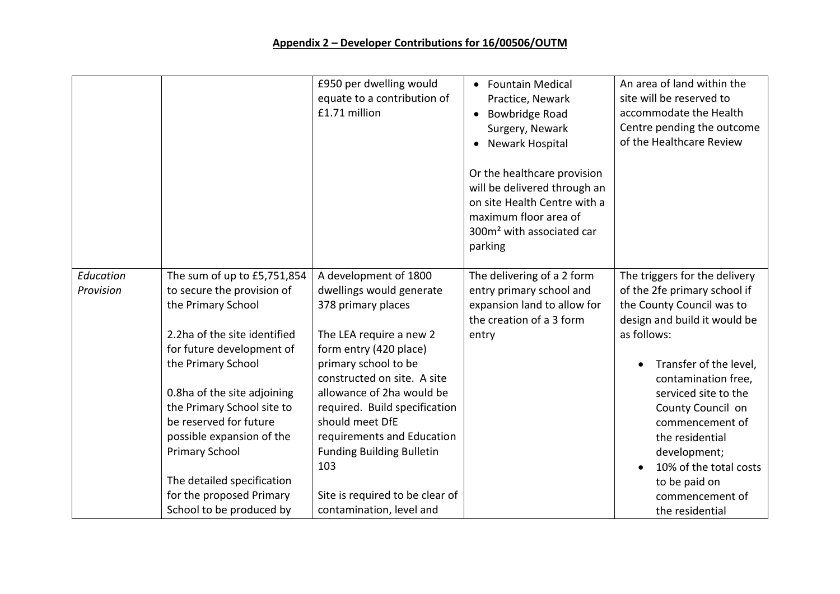## **Appendix 2 – Developer Contributions for 16/00506/OUTM**

|                        |                                                                                                                                                                                                                                                                                                                                                                                                       | £950 per dwelling would<br>equate to a contribution of<br>£1.71 million                                                                                                                                                                                                                                                                                                                                      | <b>Fountain Medical</b><br>$\bullet$<br>Practice, Newark<br>Bowbridge Road<br>$\bullet$<br>Surgery, Newark<br>Newark Hospital<br>Or the healthcare provision<br>will be delivered through an<br>on site Health Centre with a<br>maximum floor area of<br>300m <sup>2</sup> with associated car<br>parking | An area of land within the<br>site will be reserved to<br>accommodate the Health<br>Centre pending the outcome<br>of the Healthcare Review                                                                                                                                                                                                                                     |
|------------------------|-------------------------------------------------------------------------------------------------------------------------------------------------------------------------------------------------------------------------------------------------------------------------------------------------------------------------------------------------------------------------------------------------------|--------------------------------------------------------------------------------------------------------------------------------------------------------------------------------------------------------------------------------------------------------------------------------------------------------------------------------------------------------------------------------------------------------------|-----------------------------------------------------------------------------------------------------------------------------------------------------------------------------------------------------------------------------------------------------------------------------------------------------------|--------------------------------------------------------------------------------------------------------------------------------------------------------------------------------------------------------------------------------------------------------------------------------------------------------------------------------------------------------------------------------|
| Education<br>Provision | The sum of up to £5,751,854<br>to secure the provision of<br>the Primary School<br>2.2ha of the site identified<br>for future development of<br>the Primary School<br>0.8ha of the site adjoining<br>the Primary School site to<br>be reserved for future<br>possible expansion of the<br><b>Primary School</b><br>The detailed specification<br>for the proposed Primary<br>School to be produced by | A development of 1800<br>dwellings would generate<br>378 primary places<br>The LEA require a new 2<br>form entry (420 place)<br>primary school to be<br>constructed on site. A site<br>allowance of 2ha would be<br>required. Build specification<br>should meet DfE<br>requirements and Education<br><b>Funding Building Bulletin</b><br>103<br>Site is required to be clear of<br>contamination, level and | The delivering of a 2 form<br>entry primary school and<br>expansion land to allow for<br>the creation of a 3 form<br>entry                                                                                                                                                                                | The triggers for the delivery<br>of the 2fe primary school if<br>the County Council was to<br>design and build it would be<br>as follows:<br>Transfer of the level,<br>contamination free,<br>serviced site to the<br>County Council on<br>commencement of<br>the residential<br>development;<br>10% of the total costs<br>to be paid on<br>commencement of<br>the residential |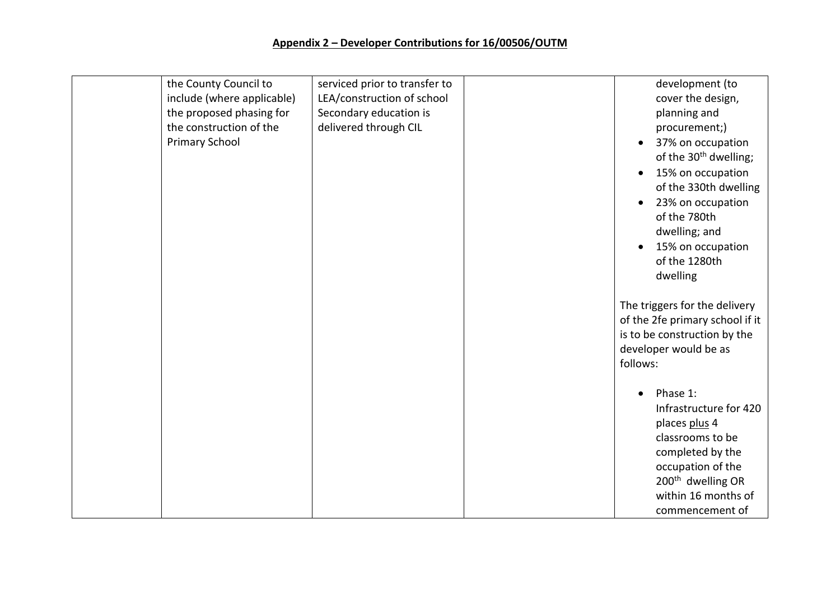| the County Council to<br>include (where applicable)<br>the proposed phasing for<br>the construction of the<br><b>Primary School</b> | serviced prior to transfer to<br>LEA/construction of school<br>Secondary education is<br>delivered through CIL | development (to<br>cover the design,<br>planning and<br>procurement;)<br>37% on occupation<br>of the 30 <sup>th</sup> dwelling;<br>15% on occupation<br>$\bullet$<br>of the 330th dwelling<br>23% on occupation<br>of the 780th<br>dwelling; and<br>15% on occupation<br>of the 1280th<br>dwelling<br>The triggers for the delivery<br>of the 2fe primary school if it<br>is to be construction by the<br>developer would be as<br>follows:<br>Phase 1: |
|-------------------------------------------------------------------------------------------------------------------------------------|----------------------------------------------------------------------------------------------------------------|---------------------------------------------------------------------------------------------------------------------------------------------------------------------------------------------------------------------------------------------------------------------------------------------------------------------------------------------------------------------------------------------------------------------------------------------------------|
|                                                                                                                                     |                                                                                                                | Infrastructure for 420<br>places plus 4<br>classrooms to be<br>completed by the<br>occupation of the                                                                                                                                                                                                                                                                                                                                                    |
|                                                                                                                                     |                                                                                                                | 200 <sup>th</sup> dwelling OR<br>within 16 months of<br>commencement of                                                                                                                                                                                                                                                                                                                                                                                 |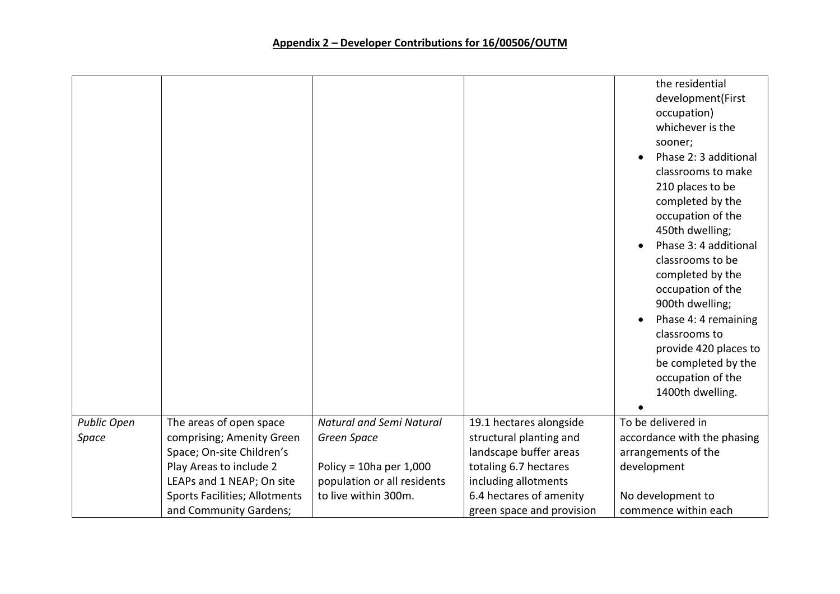|                    |                               |                                 |                           | the residential<br>development(First<br>occupation)<br>whichever is the<br>sooner;<br>Phase 2: 3 additional<br>classrooms to make<br>210 places to be<br>completed by the<br>occupation of the<br>450th dwelling;<br>Phase 3: 4 additional<br>classrooms to be<br>completed by the<br>occupation of the<br>900th dwelling;<br>Phase 4: 4 remaining<br>classrooms to<br>provide 420 places to<br>be completed by the<br>occupation of the<br>1400th dwelling. |
|--------------------|-------------------------------|---------------------------------|---------------------------|--------------------------------------------------------------------------------------------------------------------------------------------------------------------------------------------------------------------------------------------------------------------------------------------------------------------------------------------------------------------------------------------------------------------------------------------------------------|
| <b>Public Open</b> | The areas of open space       | <b>Natural and Semi Natural</b> | 19.1 hectares alongside   | To be delivered in                                                                                                                                                                                                                                                                                                                                                                                                                                           |
| Space              | comprising; Amenity Green     | Green Space                     | structural planting and   | accordance with the phasing                                                                                                                                                                                                                                                                                                                                                                                                                                  |
|                    | Space; On-site Children's     |                                 | landscape buffer areas    | arrangements of the                                                                                                                                                                                                                                                                                                                                                                                                                                          |
|                    | Play Areas to include 2       | Policy = $10ha$ per $1,000$     | totaling 6.7 hectares     | development                                                                                                                                                                                                                                                                                                                                                                                                                                                  |
|                    | LEAPs and 1 NEAP; On site     | population or all residents     | including allotments      |                                                                                                                                                                                                                                                                                                                                                                                                                                                              |
|                    | Sports Facilities; Allotments | to live within 300m.            | 6.4 hectares of amenity   | No development to                                                                                                                                                                                                                                                                                                                                                                                                                                            |
|                    | and Community Gardens;        |                                 | green space and provision | commence within each                                                                                                                                                                                                                                                                                                                                                                                                                                         |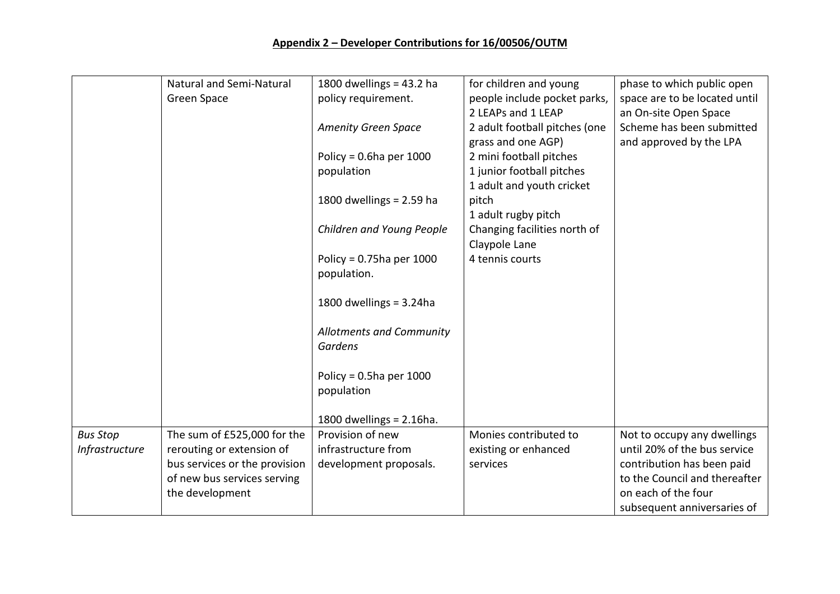|                 | <b>Natural and Semi-Natural</b> | 1800 dwellings = $43.2$ ha  | for children and young        | phase to which public open    |
|-----------------|---------------------------------|-----------------------------|-------------------------------|-------------------------------|
|                 | Green Space                     | policy requirement.         | people include pocket parks,  | space are to be located until |
|                 |                                 |                             | 2 LEAPs and 1 LEAP            | an On-site Open Space         |
|                 |                                 | <b>Amenity Green Space</b>  | 2 adult football pitches (one | Scheme has been submitted     |
|                 |                                 |                             | grass and one AGP)            | and approved by the LPA       |
|                 |                                 | Policy = $0.6$ ha per 1000  | 2 mini football pitches       |                               |
|                 |                                 | population                  | 1 junior football pitches     |                               |
|                 |                                 |                             | 1 adult and youth cricket     |                               |
|                 |                                 | 1800 dwellings = $2.59$ ha  | pitch                         |                               |
|                 |                                 |                             | 1 adult rugby pitch           |                               |
|                 |                                 | Children and Young People   | Changing facilities north of  |                               |
|                 |                                 |                             | Claypole Lane                 |                               |
|                 |                                 | Policy = $0.75$ ha per 1000 | 4 tennis courts               |                               |
|                 |                                 | population.                 |                               |                               |
|                 |                                 |                             |                               |                               |
|                 |                                 | 1800 dwellings = $3.24$ ha  |                               |                               |
|                 |                                 |                             |                               |                               |
|                 |                                 | Allotments and Community    |                               |                               |
|                 |                                 | <b>Gardens</b>              |                               |                               |
|                 |                                 |                             |                               |                               |
|                 |                                 | Policy = $0.5$ ha per 1000  |                               |                               |
|                 |                                 | population                  |                               |                               |
|                 |                                 |                             |                               |                               |
|                 |                                 | 1800 dwellings = $2.16$ ha. |                               |                               |
| <b>Bus Stop</b> | The sum of £525,000 for the     | Provision of new            | Monies contributed to         | Not to occupy any dwellings   |
| Infrastructure  | rerouting or extension of       | infrastructure from         | existing or enhanced          | until 20% of the bus service  |
|                 | bus services or the provision   | development proposals.      | services                      | contribution has been paid    |
|                 | of new bus services serving     |                             |                               | to the Council and thereafter |
|                 | the development                 |                             |                               | on each of the four           |
|                 |                                 |                             |                               | subsequent anniversaries of   |